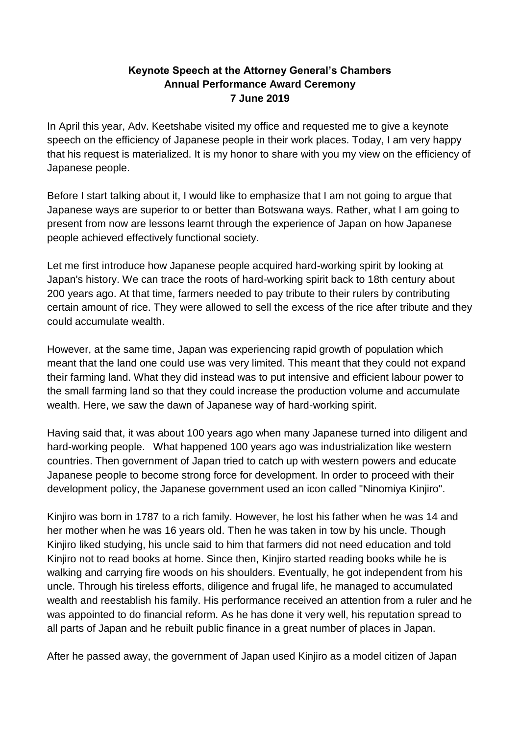## **Keynote Speech at the Attorney General's Chambers Annual Performance Award Ceremony 7 June 2019**

In April this year, Adv. Keetshabe visited my office and requested me to give a keynote speech on the efficiency of Japanese people in their work places. Today, I am very happy that his request is materialized. It is my honor to share with you my view on the efficiency of Japanese people.

Before I start talking about it. I would like to emphasize that I am not going to argue that Japanese ways are superior to or better than Botswana ways. Rather, what I am going to present from now are lessons learnt through the experience of Japan on how Japanese people achieved effectively functional society.

Let me first introduce how Japanese people acquired hard-working spirit by looking at Japan's history. We can trace the roots of hard-working spirit back to 18th century about 200 years ago. At that time, farmers needed to pay tribute to their rulers by contributing certain amount of rice. They were allowed to sell the excess of the rice after tribute and they could accumulate wealth.

However, at the same time, Japan was experiencing rapid growth of population which meant that the land one could use was very limited. This meant that they could not expand their farming land. What they did instead was to put intensive and efficient labour power to the small farming land so that they could increase the production volume and accumulate wealth. Here, we saw the dawn of Japanese way of hard-working spirit.

Having said that, it was about 100 years ago when many Japanese turned into diligent and hard-working people. What happened 100 years ago was industrialization like western countries. Then government of Japan tried to catch up with western powers and educate Japanese people to become strong force for development. In order to proceed with their development policy, the Japanese government used an icon called "Ninomiya Kinjiro".

Kinjiro was born in 1787 to a rich family. However, he lost his father when he was 14 and her mother when he was 16 years old. Then he was taken in tow by his uncle. Though Kinjiro liked studying, his uncle said to him that farmers did not need education and told Kinjiro not to read books at home. Since then, Kinjiro started reading books while he is walking and carrying fire woods on his shoulders. Eventually, he got independent from his uncle. Through his tireless efforts, diligence and frugal life, he managed to accumulated wealth and reestablish his family. His performance received an attention from a ruler and he was appointed to do financial reform. As he has done it very well, his reputation spread to all parts of Japan and he rebuilt public finance in a great number of places in Japan.

After he passed away, the government of Japan used Kinjiro as a model citizen of Japan